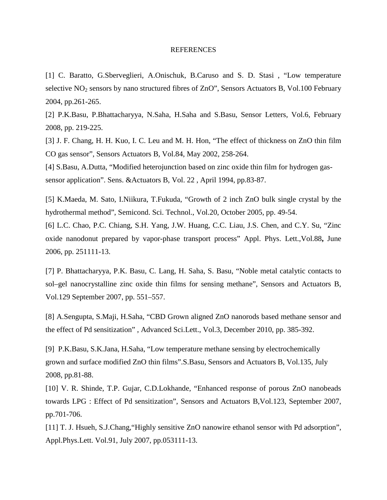## **REFERENCES**

[1] C. Baratto, G.Sberveglieri, A.Onischuk, B.Caruso and S. D. Stasi , "Low temperature selective  $NO<sub>2</sub>$  sensors by nano structured fibres of  $ZnO$ ", Sensors Actuators B, Vol.100 February 2004, pp.261-265.

[2] P.K.Basu, P.Bhattacharyya, N.Saha, H.Saha and S.Basu, Sensor Letters, Vol.6, February 2008, pp. 219-225.

[3] J. F. Chang, H. H. Kuo, I. C. Leu and M. H. Hon, "The effect of thickness on ZnO thin film CO gas sensor", Sensors Actuators B, Vol.84, May 2002, 258-264.

[4] S.Basu, A.Dutta, "Modified heterojunction based on zinc oxide thin film for hydrogen gassensor application". Sens. &Actuators B, Vol. 22 , April 1994, pp.83-87.

[5] K.Maeda, M. Sato, I.Niikura, T.Fukuda, "Growth of 2 inch ZnO bulk single crystal by the hydrothermal method", Semicond. Sci. Technol., Vol.20, October 2005, pp. 49-54.

[6] L.C. Chao, P.C. Chiang, S.H. Yang, J.W. Huang, C.C. Liau, J.S. Chen, and C.Y. Su, "Zinc oxide nanodonut prepared by vapor-phase transport process" Appl. Phys. Lett.,Vol.88**,** June 2006, pp. 251111-13.

[7] P. Bhattacharyya, P.K. Basu, C. Lang, H. Saha, S. Basu, "Noble metal catalytic contacts to sol–gel nanocrystalline zinc oxide thin films for sensing methane", Sensors and Actuators B, Vol.129 September 2007, pp. 551–557.

[8] A.Sengupta, S.Maji, H.Saha, "CBD Grown aligned ZnO nanorods based methane sensor and the effect of Pd sensitization" , Advanced Sci.Lett., Vol.3, December 2010, pp. 385-392.

[9] P.K.Basu, S.K.Jana, H.Saha, "Low temperature methane sensing by electrochemically grown and surface modified ZnO thin films".S.Basu, Sensors and Actuators B, Vol.135, July 2008, pp.81-88.

[10] V. R. Shinde, T.P. Gujar, C.D.Lokhande, "Enhanced response of porous ZnO nanobeads towards LPG : Effect of Pd sensitization", Sensors and Actuators B,Vol.123, September 2007, pp.701-706.

[11] T. J. Hsueh, S.J.Chang, "Highly sensitive ZnO nanowire ethanol sensor with Pd adsorption", Appl.Phys.Lett. Vol.91, July 2007, pp.053111-13.